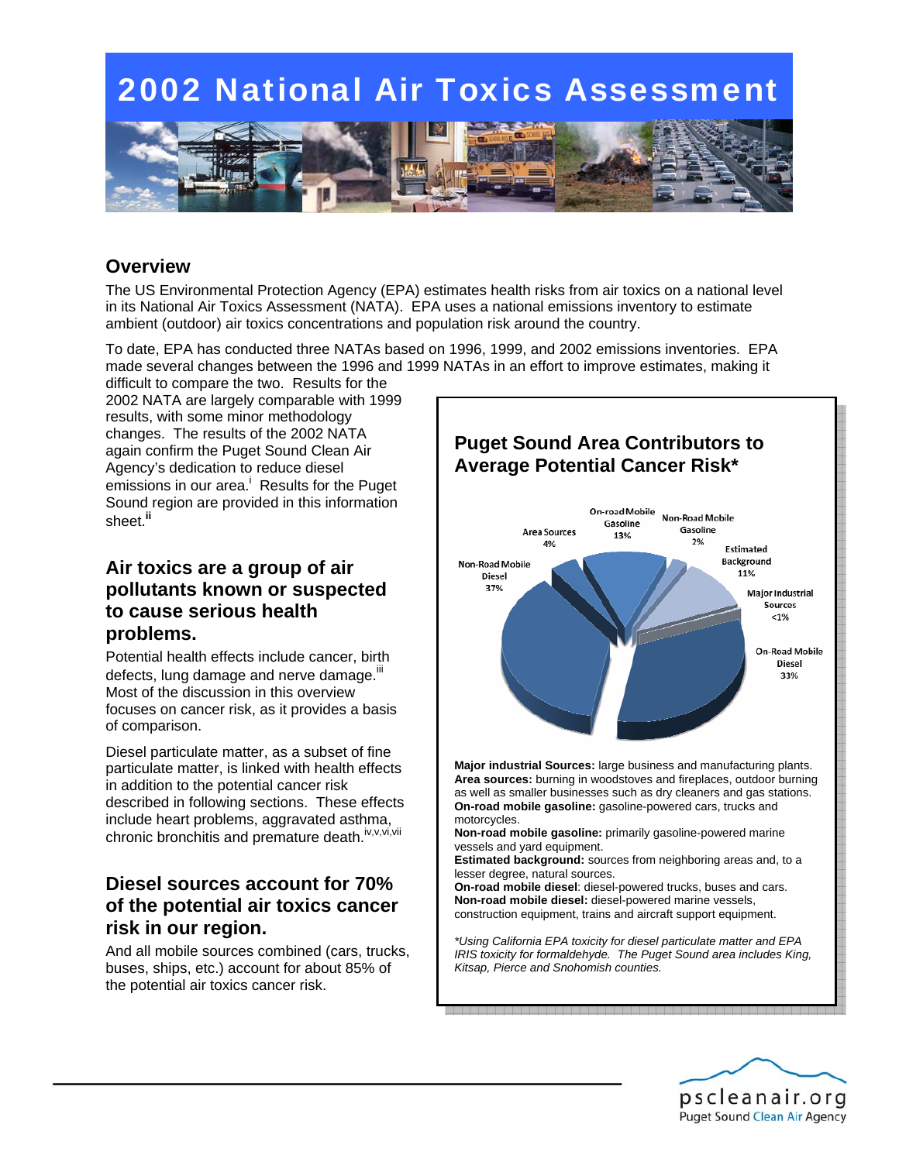

### **Overview**

The US Environmental Protection Agency (EPA) estimates health risks from air toxics on a national level in its National Air Toxics Assessment (NATA).EPA uses a national emissions inventory to estimate ambient (outdoor) air toxics concentrations and population risk around the country.

To date, EPA has conducted three NATAs based on 1996, 1999, and 2002 emissions inventories. EPA made several changes between the 1996 and 1999 NATAs in an effort to improve estimates, making it

difficult to compare the two. Results for the 2002 NATA are largely comparable with 1999 results, with some minor methodology changes. The results of the 2002 NATA again confirm the Puget Sound Clean Air Agency's dedication to reduce diesel emissions in our area.<sup>i</sup> Results for the Puget Sound region are provided in this information sheet.**ii**

#### **Air toxics are a group of air pollutants known or suspected to cause serious health problems.**

Potential health effects include cancer, birth defects, lung damage and nerve damage.<sup>III</sup> Most of the discussion in this overview focuses on cancer risk, as it provides a basis of comparison.

Diesel particulate matter, as a subset of fine particulate matter, is linked with health effects in addition to the potential cancer risk described in following sections. These effects include heart problems, aggravated asthma, chronic bronchitis and premature death.<sup>iv,v,vi,vii</sup>

### **Diesel sources account for 70% of the potential air toxics cancer risk in our region.**

And all mobile sources combined (cars, trucks, buses, ships, etc.) account for about 85% of the potential air toxics cancer risk.



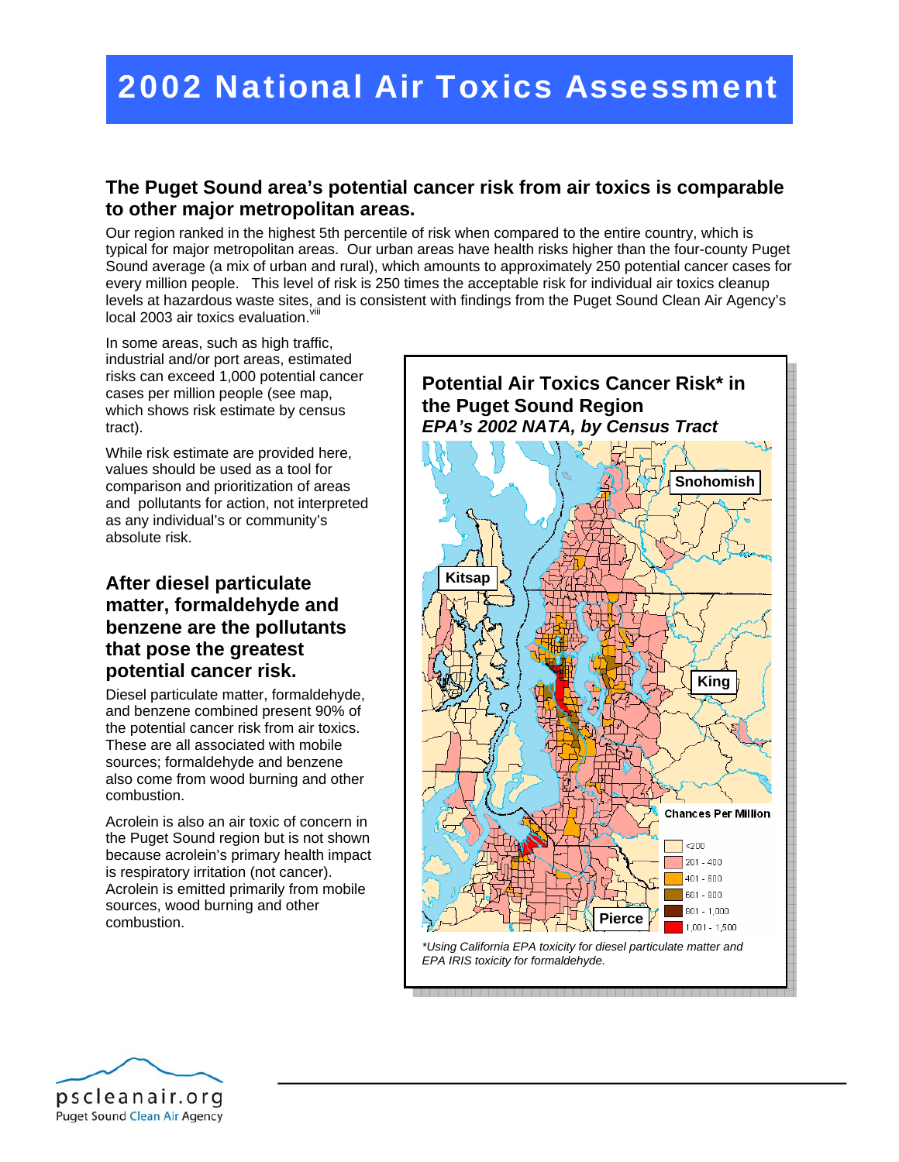#### **The Puget Sound area's potential cancer risk from air toxics is comparable to other major metropolitan areas.**

Our region ranked in the highest 5th percentile of risk when compared to the entire country, which is typical for major metropolitan areas. Our urban areas have health risks higher than the four-county Puget Sound average (a mix of urban and rural), which amounts to approximately 250 potential cancer cases for every million people. This level of risk is 250 times the acceptable risk for individual air toxics cleanup levels at hazardous waste sites, and is consistent with findings from the Puget Sound Clean Air Agency's local 2003 air toxics evaluation. Vill

In some areas, such as high traffic, industrial and/or port areas, estimated risks can exceed 1,000 potential cancer cases per million people (see map, which shows risk estimate by census tract).

While risk estimate are provided here, values should be used as a tool for comparison and prioritization of areas and pollutants for action, not interpreted as any individual's or community's absolute risk.

### **After diesel particulate matter, formaldehyde and benzene are the pollutants that pose the greatest potential cancer risk.**

Diesel particulate matter, formaldehyde, and benzene combined present 90% of the potential cancer risk from air toxics. These are all associated with mobile sources; formaldehyde and benzene also come from wood burning and other combustion.

Acrolein is also an air toxic of concern in the Puget Sound region but is not shown because acrolein's primary health impact is respiratory irritation (not cancer). Acrolein is emitted primarily from mobile sources, wood burning and other combustion.



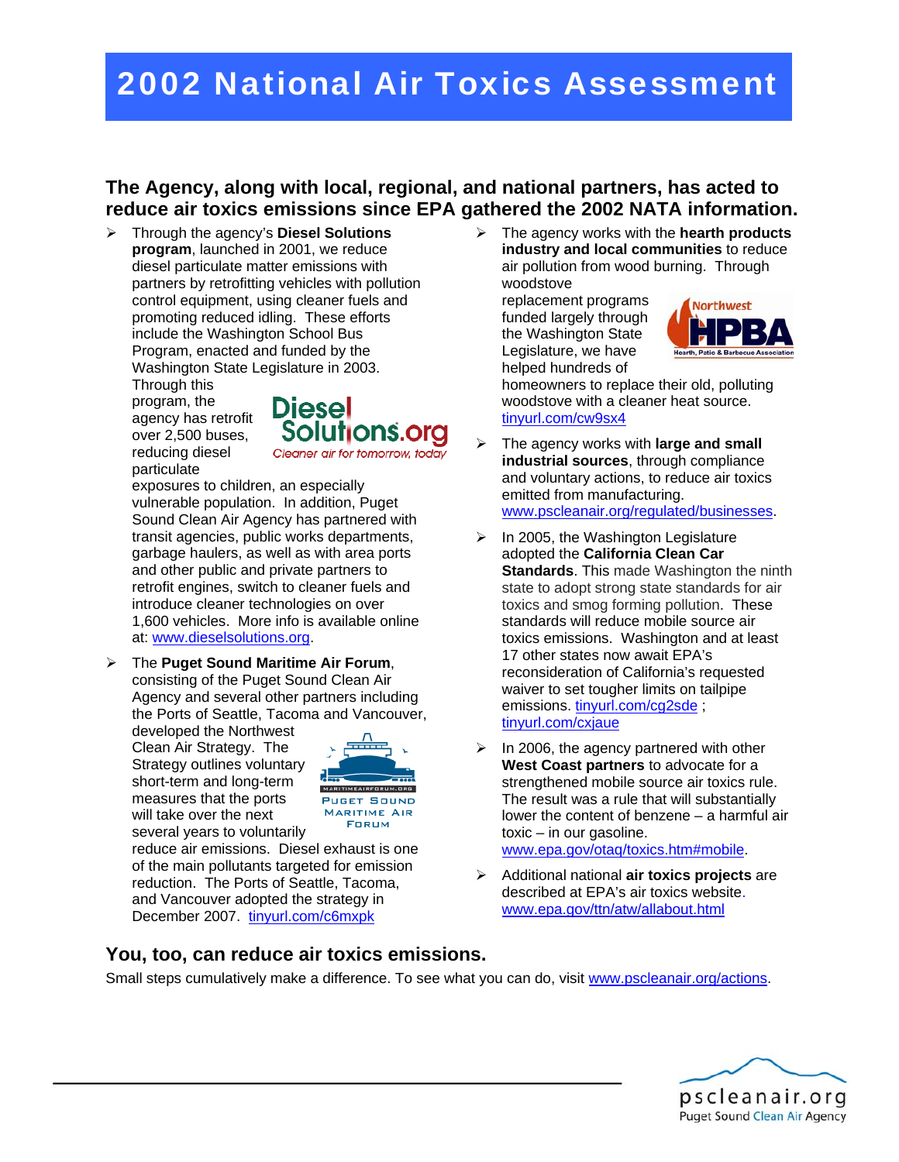### **The Agency, along with local, regional, and national partners, has acted to reduce air toxics emissions since EPA gathered the 2002 NATA information.**

¾ Through the agency's **Diesel Solutions program**, launched in 2001, we reduce diesel particulate matter emissions with partners by retrofitting vehicles with pollution control equipment, using cleaner fuels and promoting reduced idling. These efforts include the Washington School Bus Program, enacted and funded by the Washington State Legislature in 2003.

Through this program, the agency has retrofit over 2,500 buses, reducing diesel particulate



exposures to children, an especially vulnerable population. In addition, Puget Sound Clean Air Agency has partnered with transit agencies, public works departments, garbage haulers, as well as with area ports and other public and private partners to retrofit engines, switch to cleaner fuels and introduce cleaner technologies on over 1,600 vehicles. More info is available online at: www.dieselsolutions.org.

¾ The **Puget Sound Maritime Air Forum**, consisting of the Puget Sound Clean Air Agency and several other partners including the Ports of Seattle, Tacoma and Vancouver,

developed the Northwest Clean Air Strategy. The Strategy outlines voluntary short-term and long-term measures that the ports will take over the next several years to voluntarily



reduce air emissions. Diesel exhaust is one of the main pollutants targeted for emission reduction. The Ports of Seattle, Tacoma, and Vancouver adopted the strategy in December 2007. tinyurl.com/c6mxpk

¾ The agency works with the **hearth products industry and local communities** to reduce air pollution from wood burning. Through woodstove

replacement programs funded largely through the Washington State Legislature, we have helped hundreds of



homeowners to replace their old, polluting woodstove with a cleaner heat source. tinyurl.com/cw9sx4

- ¾ The agency works with **large and small industrial sources**, through compliance and voluntary actions, to reduce air toxics emitted from manufacturing. www.pscleanair.org/regulated/businesses.
- $\triangleright$  In 2005, the Washington Legislature adopted the **California Clean Car Standards**. This made Washington the ninth state to adopt strong state standards for air toxics and smog forming pollution. These standards will reduce mobile source air toxics emissions. Washington and at least 17 other states now await EPA's reconsideration of California's requested waiver to set tougher limits on tailpipe emissions. tinyurl.com/cg2sde ; tinyurl.com/cxjaue
- $\triangleright$  In 2006, the agency partnered with other **West Coast partners** to advocate for a strengthened mobile source air toxics rule. The result was a rule that will substantially lower the content of benzene – a harmful air toxic – in our gasoline. www.epa.gov/otaq/toxics.htm#mobile.
- ¾ Additional national **air toxics projects** are described at EPA's air toxics website. www.epa.gov/ttn/atw/allabout.html

#### **You, too, can reduce air toxics emissions.**

Small steps cumulatively make a difference. To see what you can do, visit www.pscleanair.org/actions.